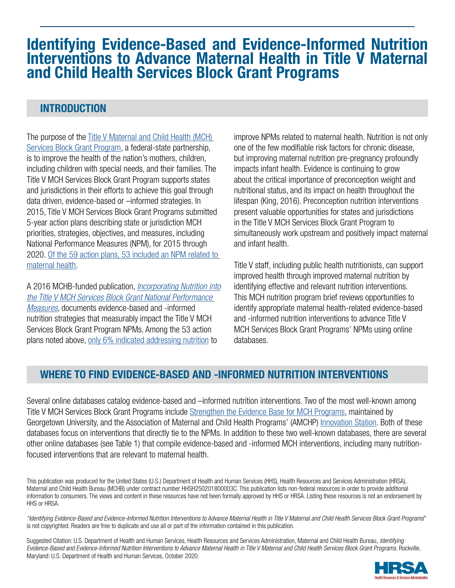# Identifying Evidence-Based and Evidence-Informed Nutrition Interventions to Advance Maternal Health in Title V Maternal and Child Health Services Block Grant Programs

# INTRODUCTION

[The purpose of the Title V Maternal and Child Health \(MCH\)](https://mchb.hrsa.gov/maternal-child-health-initiatives/title-v-maternal-and-child-health-services-block-grant-program)  Services Block Grant Program, a federal-state partnership, is to improve the health of the nation's mothers, children, including children with special needs, and their families. The Title V MCH Services Block Grant Program supports states and jurisdictions in their efforts to achieve this goal through data driven, evidence-based or –informed strategies. In 2015, Title V MCH Services Block Grant Programs submitted 5-year action plans describing state or jurisdiction MCH priorities, strategies, objectives, and measures, including National Performance Measures (NPM), for 2015 through [2020. Of the 59 action plans, 53 included an NPM related to](https://mchb.tvisdata.hrsa.gov/PrioritiesAndMeasures/NationalPerformanceMeasures)  maternal health.

A 2016 MCHB-funded publication, *Incorporating Nutrition into [the Title V MCH Services Block Grant National Performance](https://asphn.org/wp-content/uploads/2017/10/Incorporating-Nutrition-in-the-Title-V-MCH-Services-Block-Grant-National-Performance-Measures.pdf)  Measures*, documents evidence-based and -informed nutrition strategies that measurably impact the Title V MCH Services Block Grant Program NPMs. Among the 53 action plans noted above, [only 6% indicated addressing nutrition](https://mchb.tvisdata.hrsa.gov/) to

improve NPMs related to maternal health. Nutrition is not only one of the few modifiable risk factors for chronic disease, but improving maternal nutrition pre-pregnancy profoundly impacts infant health. Evidence is continuing to grow about the critical importance of preconception weight and nutritional status, and its impact on health throughout the lifespan (King, 2016). Preconception nutrition interventions present valuable opportunities for states and jurisdictions in the Title V MCH Services Block Grant Program to simultaneously work upstream and positively impact maternal and infant health.

Title V staff, including public health nutritionists, can support improved health through improved maternal nutrition by identifying effective and relevant nutrition interventions. This MCH nutrition program brief reviews opportunities to identify appropriate maternal health-related evidence-based and -informed nutrition interventions to advance Title V MCH Services Block Grant Programs' NPMs using online databases.

### WHERE TO FIND EVIDENCE-BASED AND -INFORMED NUTRITION INTERVENTIONS

Several online databases catalog evidence-based and –informed nutrition interventions. Two of the most well-known among Title V MCH Services Block Grant Programs include [Strengthen the Evidence Base for MCH Programs](https://www.mchevidence.org/tools/strategies/), maintained by Georgetown University, and the Association of Maternal and Child Health Programs' (AMCHP) [Innovation Station.](http://www.amchp.org/programsandtopics/BestPractices/InnovationStation/Pages/IS-BP-Search.aspx) Both of these databases focus on interventions that directly tie to the NPMs. In addition to these two well-known databases, there are several other online databases (see Table 1) that compile evidence-based and -informed MCH interventions, including many nutritionfocused interventions that are relevant to maternal health.

This publication was produced for the United States (U.S.) Department of Health and Human Services (HHS), Health Resources and Services Administration (HRSA), Maternal and Child Health Bureau (MCHB) under contract number HHSH250201800003C. This publication lists non-federal resources in order to provide additional information to consumers. The views and content in these resources have not been formally approved by HHS or HRSA. Listing these resources is not an endorsement by HHS or HRSA.

*"Identifying Evidence-Based and Evidence-Informed Nutrition Interventions to Advance Maternal Health in Title V Maternal and Child Health Services Block Grant Programs*" is not copyrighted. Readers are free to duplicate and use all or part of the information contained in this publication.

Suggested Citation: U.S. Department of Health and Human Services, Health Resources and Services Administration, Maternal and Child Health Bureau, *Identifying Evidence-Based and Evidence-Informed Nutrition Interventions to Advance Maternal Health in Title V Maternal and Child Health Services Block Grant Programs*. Rockville, Maryland: U.S. Department of Health and Human Services, October 2020.

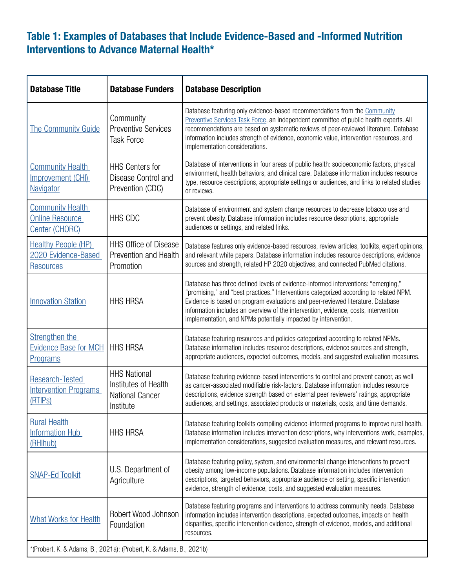# Table 1: Examples of Databases that Include Evidence-Based and -Informed Nutrition Interventions to Advance Maternal Health\*

| <b>Database Title</b>                                                          | <b>Database Funders</b>                                                            | <b>Database Description</b>                                                                                                                                                                                                                                                                                                                                                                                             |
|--------------------------------------------------------------------------------|------------------------------------------------------------------------------------|-------------------------------------------------------------------------------------------------------------------------------------------------------------------------------------------------------------------------------------------------------------------------------------------------------------------------------------------------------------------------------------------------------------------------|
| <b>The Community Guide</b>                                                     | Community<br><b>Preventive Services</b><br><b>Task Force</b>                       | Database featuring only evidence-based recommendations from the Community<br>Preventive Services Task Force, an independent committee of public health experts. All<br>recommendations are based on systematic reviews of peer-reviewed literature. Database<br>information includes strength of evidence, economic value, intervention resources, and<br>implementation considerations.                                |
| <b>Community Health</b><br>Improvement (CHI)<br><b>Navigator</b>               | <b>HHS Centers for</b><br>Disease Control and<br>Prevention (CDC)                  | Database of interventions in four areas of public health: socioeconomic factors, physical<br>environment, health behaviors, and clinical care. Database information includes resource<br>type, resource descriptions, appropriate settings or audiences, and links to related studies<br>or reviews.                                                                                                                    |
| <b>Community Health</b><br><b>Online Resource</b><br>Center (CHORC)            | <b>HHS CDC</b>                                                                     | Database of environment and system change resources to decrease tobacco use and<br>prevent obesity. Database information includes resource descriptions, appropriate<br>audiences or settings, and related links.                                                                                                                                                                                                       |
| <b>Healthy People (HP)</b><br>2020 Evidence-Based<br><b>Resources</b>          | <b>HHS Office of Disease</b><br>Prevention and Health<br>Promotion                 | Database features only evidence-based resources, review articles, toolkits, expert opinions,<br>and relevant white papers. Database information includes resource descriptions, evidence<br>sources and strength, related HP 2020 objectives, and connected PubMed citations.                                                                                                                                           |
| <b>Innovation Station</b>                                                      | <b>HHS HRSA</b>                                                                    | Database has three defined levels of evidence-informed interventions: "emerging,"<br>"promising," and "best practices." Interventions categorized according to related NPM.<br>Evidence is based on program evaluations and peer-reviewed literature. Database<br>information includes an overview of the intervention, evidence, costs, intervention<br>implementation, and NPMs potentially impacted by intervention. |
| Strengthen the<br><b>Evidence Base for MCH</b><br>Programs                     | <b>HHS HRSA</b>                                                                    | Database featuring resources and policies categorized according to related NPMs.<br>Database information includes resource descriptions, evidence sources and strength,<br>appropriate audiences, expected outcomes, models, and suggested evaluation measures.                                                                                                                                                         |
| <b>Research-Tested</b><br><b>Intervention Programs</b><br>(RTIP <sub>S</sub> ) | <b>HHS National</b><br>Institutes of Health<br><b>National Cancer</b><br>Institute | Database featuring evidence-based interventions to control and prevent cancer, as well<br>as cancer-associated modifiable risk-factors. Database information includes resource<br>descriptions, evidence strength based on external peer reviewers' ratings, appropriate<br>audiences, and settings, associated products or materials, costs, and time demands.                                                         |
| <b>Rural Health</b><br><b>Information Hub</b><br>(RHIhub)                      | <b>HHS HRSA</b>                                                                    | Database featuring toolkits compiling evidence-informed programs to improve rural health.<br>Database information includes intervention descriptions, why interventions work, examples,<br>implementation considerations, suggested evaluation measures, and relevant resources.                                                                                                                                        |
| <b>SNAP-Ed Toolkit</b>                                                         | U.S. Department of<br>Agriculture                                                  | Database featuring policy, system, and environmental change interventions to prevent<br>obesity among low-income populations. Database information includes intervention<br>descriptions, targeted behaviors, appropriate audience or setting, specific intervention<br>evidence, strength of evidence, costs, and suggested evaluation measures.                                                                       |
| <b>What Works for Health</b>                                                   | Robert Wood Johnson<br>Foundation                                                  | Database featuring programs and interventions to address community needs. Database<br>information includes intervention descriptions, expected outcomes, impacts on health<br>disparities, specific intervention evidence, strength of evidence, models, and additional<br>resources.                                                                                                                                   |
| *(Probert, K. & Adams, B., 2021a); (Probert, K. & Adams, B., 2021b)            |                                                                                    |                                                                                                                                                                                                                                                                                                                                                                                                                         |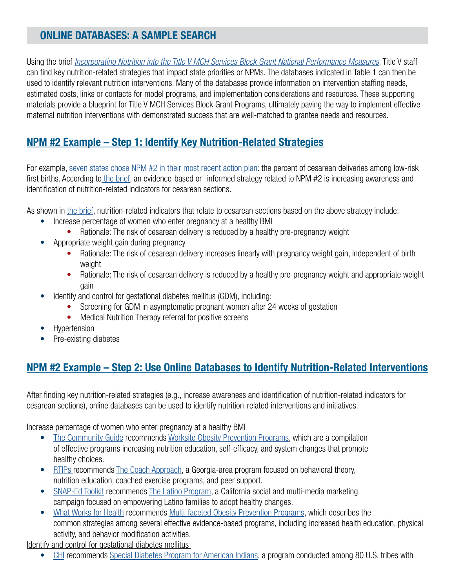# ONLINE DATABASES: A SAMPLE SEARCH

Using the brief *[Incorporating Nutrition into the Title V MCH Services Block Grant National Performance Measures](https://asphn.org/wp-content/uploads/2017/10/Incorporating-Nutrition-in-the-Title-V-MCH-Services-Block-Grant-National-Performance-Measures.pdf)*, Title V staff can find key nutrition-related strategies that impact state priorities or NPMs. The databases indicated in Table 1 can then be used to identify relevant nutrition interventions. Many of the databases provide information on intervention staffing needs, estimated costs, links or contacts for model programs, and implementation considerations and resources. These supporting materials provide a blueprint for Title V MCH Services Block Grant Programs, ultimately paving the way to implement effective maternal nutrition interventions with demonstrated success that are well-matched to grantee needs and resources.

# NPM #2 Example – Step 1: Identify Key Nutrition-Related Strategies

For example, [seven states chose NPM #2 in their most recent action plan:](https://mchb.tvisdata.hrsa.gov/) the percent of cesarean deliveries among low-risk first births. According to [the brief,](https://asphn.org/wp-content/uploads/2017/10/Incorporating-Nutrition-in-the-Title-V-MCH-Services-Block-Grant-National-Performance-Measures.pdf) an evidence-based or -informed strategy related to NPM #2 is increasing awareness and identification of nutrition-related indicators for cesarean sections.

As shown in [the brief](https://asphn.org/wp-content/uploads/2017/10/Incorporating-Nutrition-in-the-Title-V-MCH-Services-Block-Grant-National-Performance-Measures.pdf), nutrition-related indicators that relate to cesarean sections based on the above strategy include:

- Increase percentage of women who enter pregnancy at a healthy BMI
	- Rationale: The risk of cesarean delivery is reduced by a healthy pre-pregnancy weight
- Appropriate weight gain during pregnancy
	- Rationale: The risk of cesarean delivery increases linearly with pregnancy weight gain, independent of birth weight
	- Rationale: The risk of cesarean delivery is reduced by a healthy pre-pregnancy weight and appropriate weight gain
- Identify and control for gestational diabetes mellitus (GDM), including:
	- Screening for GDM in asymptomatic pregnant women after 24 weeks of gestation
	- Medical Nutrition Therapy referral for positive screens
- Hypertension
- Pre-existing diabetes

# NPM #2 Example – Step 2: Use Online Databases to Identify Nutrition-Related Interventions

After finding key nutrition-related strategies (e.g., increase awareness and identification of nutrition-related indicators for cesarean sections), online databases can be used to identify nutrition-related interventions and initiatives.

Increase percentage of women who enter pregnancy at a healthy BMI

- [The Community Guide](https://www.thecommunityguide.org/) recommends [Worksite Obesity Prevention Programs,](https://www.thecommunityguide.org/findings/obesity-worksite-programs) which are a compilation of effective programs increasing nutrition education, self-efficacy, and system changes that promote healthy choices.
- [RTIPs r](https://rtips.cancer.gov/rtips/index.do)ecommends [The Coach Approach,](https://rtips.cancer.gov/rtips/programDetails.do?programId=22053860) a Georgia-area program focused on behavioral theory, nutrition education, coached exercise programs, and peer support.
- [SNAP-Ed Toolkit](https://snapedtoolkit.org/) recommends [The Latino Program](https://snapedtoolkit.org/interventions/programs/latino-campaign/), a California social and multi-media marketing campaign focused on empowering Latino families to adopt healthy changes.
- [What Works for Health](https://www.countyhealthrankings.org/take-action-to-improve-health/what-works-for-health) recommends [Multi-faceted Obesity Prevention Programs,](https://www.countyhealthrankings.org/take-action-to-improve-health/what-works-for-health/strategies/multi-component-obesity-prevention-interventions) which describes the common strategies among several effective evidence-based programs, including increased health education, physical activity, and behavior modification activities.

Identify and control for gestational diabetes mellitus

• [CHI](https://www.cdc.gov/CHInav/) recommends [Special Diabetes Program for American Indians](https://www.ihs.gov/sdpi/), a program conducted among 80 U.S. tribes with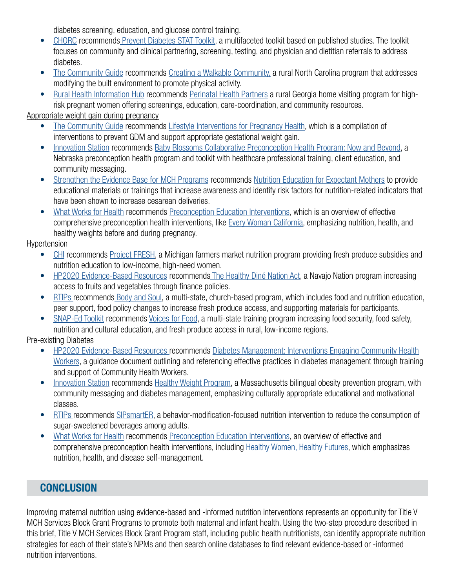diabetes screening, education, and glucose control training.

- [CHORC](https://nccd.cdc.gov/DCH_CHORC/) recommends [Prevent Diabetes STAT Toolkit](https://preventdiabetesstat.org/toolkit.html), a multifaceted toolkit based on published studies. The toolkit focuses on community and clinical partnering, screening, testing, and physician and dietitian referrals to address diabetes.
- [The Community Guide](https://www.thecommunityguide.org/) recommends [Creating a Walkable Community,](https://www.thecommunityguide.org/stories/creating-walkable-communities-rural-north-carolina) a rural North Carolina program that addresses modifying the built environment to promote physical activity.
- [Rural Health Information Hub](https://www.ruralhealthinfo.org/project-examples) recommends [Perinatal Health Partners](https://www.ruralhealthinfo.org/project-examples/302) a rural Georgia home visiting program for highrisk pregnant women offering screenings, education, care-coordination, and community resources.

#### Appropriate weight gain during pregnancy

- [The Community Guide](https://www.thecommunityguide.org/) recommends [Lifestyle Interventions for Pregnancy Health](https://www.thecommunityguide.org/findings/pregnancy-health-lifestyle-interventions-reduce-risk-gestational-diabetes), which is a compilation of interventions to prevent GDM and support appropriate gestational weight gain.
- [Innovation Station](http://www.amchp.org/programsandtopics/BestPractices/InnovationStation/Pages/Innovation-Station.aspx) recommends [Baby Blossoms Collaborative Preconception Health Program: Now and Beyond](http://www.amchp.org/programsandtopics/BestPractices/InnovationStation/ISDocs/Now%20and%20Beyond_2015.pdf), a Nebraska preconception health program and toolkit with healthcare professional training, client education, and community messaging.
- [Strengthen the Evidence Base for MCH Programs](https://www.mchevidence.org/) recommends [Nutrition Education for Expectant Mothers](https://www.mchevidence.org/tools/strategies/2-9.php) to provide educational materials or trainings that increase awareness and identify risk factors for nutrition-related indicators that have been shown to increase cesarean deliveries.
- [What Works for Health](http://www.countyhealthrankings.org/take-action-to-improve-health/what-works-for-health) recommends [Preconception Education Interventions,](https://www.countyhealthrankings.org/take-action-to-improve-health/what-works-for-health/strategies/preconception-education-interventions) which is an overview of effective comprehensive preconception health interventions, like [Every Woman California,](http://www.everywomancalifornia.org/categories_display.cfm?categoriesID=75) emphasizing nutrition, health, and healthy weights before and during pregnancy.

#### Hypertension

- [CHI](https://www.cdc.gov/CHInav/) recommends [Project FRESH](https://www.michigan.gov/mdhhs/0,5885,7-339-71547_4910_4921---,00.html), a Michigan farmers market nutrition program providing fresh produce subsidies and nutrition education to low-income, high-need women.
- [HP2020 Evidence-Based Resources](https://www.healthypeople.gov/2020/tools-resources/Evidence-Based-Resources) recommend[s The Healthy Diné Nation Act,](https://www.healthypeople.gov/2020/law-and-health-policy/bright-spot/promoting-fruits-and-vegetables-through-financing-policies-the-healthy-din%C3%A9-nation-act) a Navajo Nation program increasing access to fruits and vegetables through finance policies.
- [RTIPs r](https://rtips.cancer.gov/rtips/index.do)ecommends [Body and Soul,](https://rtips.cancer.gov/rtips/programDetails.do?programId=257161) a multi-state, church-based program, which includes food and nutrition education, peer support, food policy changes to increase fresh produce access, and supporting materials for participants.
- [SNAP-Ed Toolkit](https://snapedtoolkit.org/) recommends [Voices for Food,](https://snapedtoolkit.org/interventions/programs/voices-for-food-vff/) a multi-state training program increasing food security, food safety, nutrition and cultural education, and fresh produce access in rural, low-income regions.

#### Pre-existing Diabetes

- [HP2020 Evidence-Based Resources](https://www.healthypeople.gov/2020/tools-resources/Evidence-Based-Resources) [recommends Diabetes Management: Interventions Engaging Community Health](https://www.healthypeople.gov/2020/tools-resources/evidence-based-resource/diabetes-management-interventions-engaging-community-health-workers) Workers, a guidance document outlining and referencing effective practices in diabetes management through training and support of Community Health Workers.
- [Innovation Station](http://www.amchp.org/programsandtopics/BestPractices/InnovationStation/Pages/IS-BP-Search.aspx) recommends [Healthy Weight Program,](http://www.amchp.org/programsandtopics/BestPractices/InnovationStation/ISDocs/Healthy-Weight-for-Women_2015.pdf) a Massachusetts bilingual obesity prevention program, with community messaging and diabetes management, emphasizing culturally appropriate educational and motivational classes.
- [RTIPs r](https://rtips.cancer.gov/rtips/index.do)ecommends [SIPsmartER](https://rtips.cancer.gov/rtips/programDetails.do?programId=26317641), a behavior-modification-focused nutrition intervention to reduce the consumption of sugar-sweetened beverages among adults.
- [What Works for Health](https://www.countyhealthrankings.org/take-action-to-improve-health/what-works-for-health) recommends [Preconception Education Interventions,](https://www.countyhealthrankings.org/take-action-to-improve-health/what-works-for-health/strategies/preconception-education-interventions) an overview of effective and comprehensive preconception health interventions, including [Healthy Women, Healthy Futures,](http://beforeandbeyond.org/uploads/Healthy%20Women%20Healthy%20Futures.pdf) which emphasizes nutrition, health, and disease self-management.

## **CONCLUSION**

Improving maternal nutrition using evidence-based and -informed nutrition interventions represents an opportunity for Title V MCH Services Block Grant Programs to promote both maternal and infant health. Using the two-step procedure described in this brief, Title V MCH Services Block Grant Program staff, including public health nutritionists, can identify appropriate nutrition strategies for each of their state's NPMs and then search online databases to find relevant evidence-based or -informed nutrition interventions.